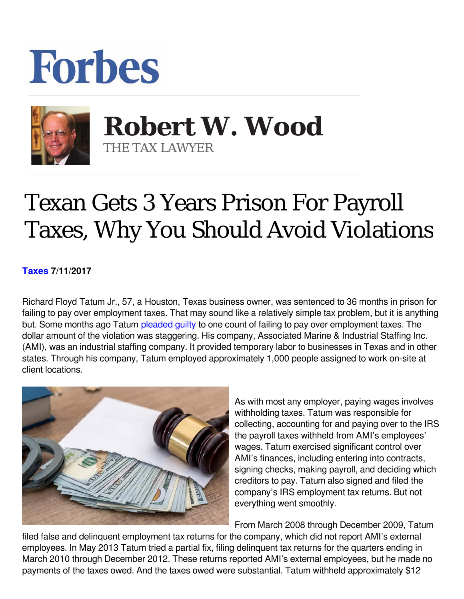## **Forbes**



 **Robert W. Wood** THE TAX LAWYER

## Texan Gets 3 Years Prison For Payroll Taxes, Why You Should Avoid Violations

## **[Taxes](https://www.forbes.com/taxes) 7/11/2017**

Richard Floyd Tatum Jr., 57, a Houston, Texas business owner, was sentenced to 36 months in prison for failing to pay over employment taxes. That may sound like a relatively simple tax problem, but it is anything but. Some months ago Tatum [pleaded guilty](https://www.justice.gov/opa/pr/texas-business-owner-pleads-guilty-not-paying-approximately-18-million-employment-taxes) to one count of failing to pay over employment taxes. The dollar amount of the violation was staggering. His company, Associated Marine & Industrial Staffing Inc. (AMI), was an industrial staffing company. It provided temporary labor to businesses in Texas and in other states. Through his company, Tatum employed approximately 1,000 people assigned to work on-site at client locations.



As with most any employer, paying wages involves withholding taxes. Tatum was responsible for collecting, accounting for and paying over to the IRS the payroll taxes withheld from AMI's employees' wages. Tatum exercised significant control over AMI's finances, including entering into contracts, signing checks, making payroll, and deciding which creditors to pay. Tatum also signed and filed the company's IRS employment tax returns. But not everything went smoothly.

From March 2008 through December 2009, Tatum

filed false and delinquent employment tax returns for the company, which did not report AMI's external employees. In May 2013 Tatum tried a partial fix, filing delinquent tax returns for the quarters ending in March 2010 through December 2012. These returns reported AMI's external employees, but he made no payments of the taxes owed. And the taxes owed were substantial. Tatum withheld approximately \$12